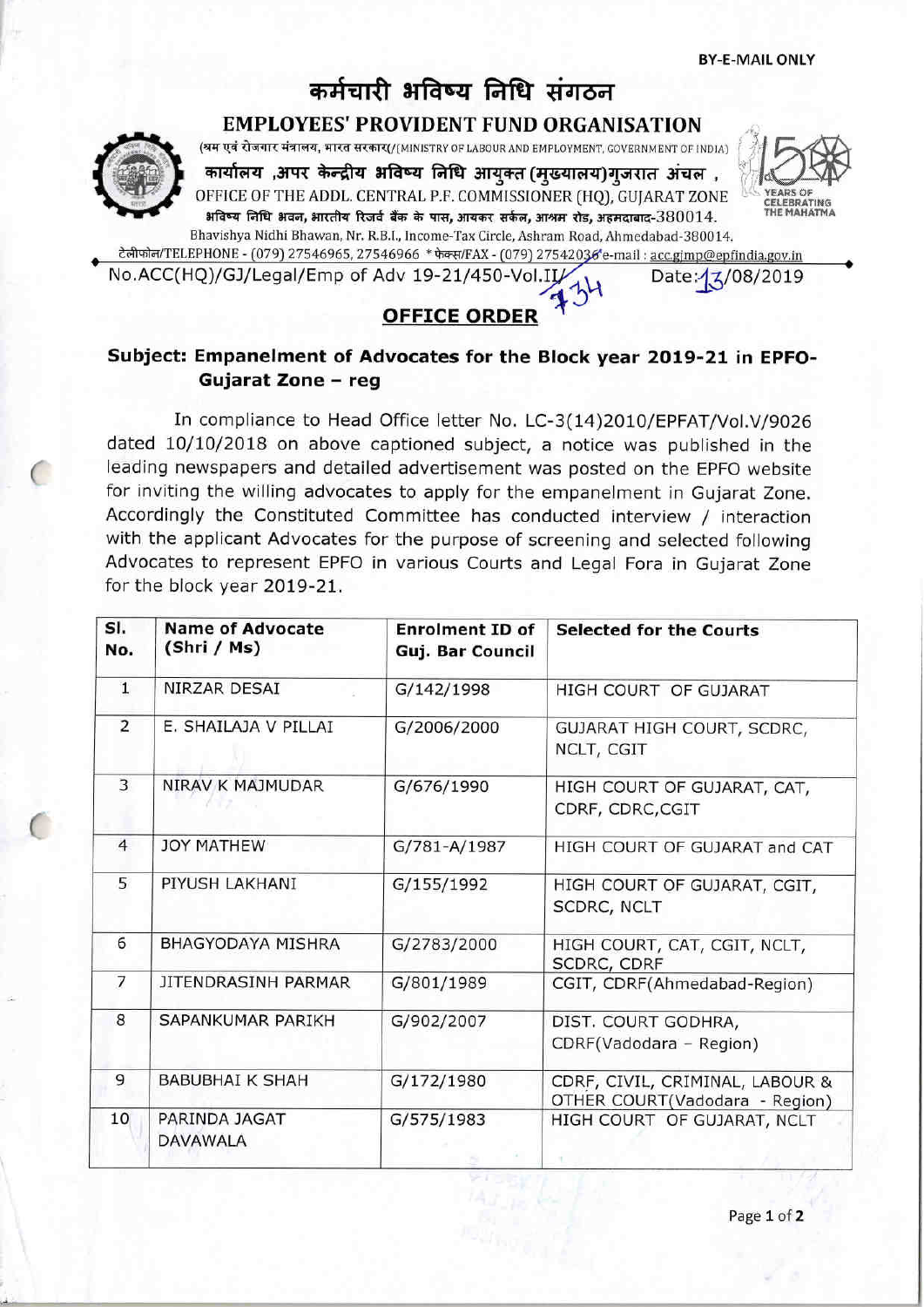# कर्मचारी भविष्य निधि संगठन

**EMPLOYEES' PROVIDENT FUND ORGANISATION** 

(श्रम एवं रोजगार मंत्रालय, भारत सरकार(/(MINISTRY OF LABOUR AND EMPLOYMENT, GOVERNMENT OF INDIA)

कार्यालय ,अपर केन्द्रीय भविष्य निधि आयुक्त (मुख्यालय)गुजरात अंचल , OFFICE OF THE ADDL. CENTRAL P.F. COMMISSIONER (HQ), GUJARAT ZONE अविष्य निधि भवन, भारतीय रिजर्व बैंक के पास, आयकर सर्कल, आश्रम रोड, अहमदाबाद-380014. Bhavishya Nidhi Bhawan, Nr. R.B.I., Income-Tax Circle, Ashram Road, Ahmedabad-380014.





टेलीफोन/TELEPHONE - (079) 27546965, 27546966 \* फेक्स/FAX - (079) 27542036'e-mail : acc.gjmp@epfindia.gov.in

No.ACC(HQ)/GJ/Legal/Emp of Adv 19-21/450-Vol.II/

Date:  $\frac{1}{2}$ /08/2019

# **OFFICE ORDER**

# Subject: Empanelment of Advocates for the Block year 2019-21 in EPFO-Gujarat Zone - reg

In compliance to Head Office letter No. LC-3(14)2010/EPFAT/Vol.V/9026 dated 10/10/2018 on above captioned subject, a notice was published in the leading newspapers and detailed advertisement was posted on the EPFO website for inviting the willing advocates to apply for the empanelment in Gujarat Zone. Accordingly the Constituted Committee has conducted interview / interaction with the applicant Advocates for the purpose of screening and selected following Advocates to represent EPFO in various Courts and Legal Fora in Gujarat Zone for the block year 2019-21.

| SI.<br>No.     | <b>Name of Advocate</b><br>(Shri / Ms) | <b>Enrolment ID of</b><br>Guj. Bar Council | <b>Selected for the Courts</b>                                    |
|----------------|----------------------------------------|--------------------------------------------|-------------------------------------------------------------------|
| $\mathbf{1}$   | NIRZAR DESAI                           | G/142/1998                                 | HIGH COURT OF GUJARAT                                             |
| $\overline{2}$ | E. SHAILAJA V PILLAI                   | G/2006/2000                                | GUJARAT HIGH COURT, SCDRC,<br>NCLT, CGIT                          |
| $\overline{3}$ | NIRAV K MAJMUDAR                       | G/676/1990                                 | HIGH COURT OF GUJARAT, CAT,<br>CDRF, CDRC, CGIT                   |
| $\overline{4}$ | <b>JOY MATHEW</b>                      | G/781-A/1987                               | HIGH COURT OF GUJARAT and CAT                                     |
| 5              | PIYUSH LAKHANI                         | G/155/1992                                 | HIGH COURT OF GUJARAT, CGIT,<br>SCDRC, NCLT                       |
| 6              | BHAGYODAYA MISHRA                      | G/2783/2000                                | HIGH COURT, CAT, CGIT, NCLT,<br>SCDRC, CDRF                       |
| $\overline{7}$ | JITENDRASINH PARMAR                    | G/801/1989                                 | CGIT, CDRF(Ahmedabad-Region)                                      |
| 8              | SAPANKUMAR PARIKH                      | G/902/2007                                 | DIST. COURT GODHRA,<br>CDRF(Vadodara - Region)                    |
| 9              | <b>BABUBHAI K SHAH</b>                 | G/172/1980                                 | CDRF, CIVIL, CRIMINAL, LABOUR &<br>OTHER COURT(Vadodara - Region) |
| 10             | PARINDA JAGAT<br><b>DAVAWALA</b>       | G/575/1983                                 | HIGH COURT OF GUJARAT, NCLT                                       |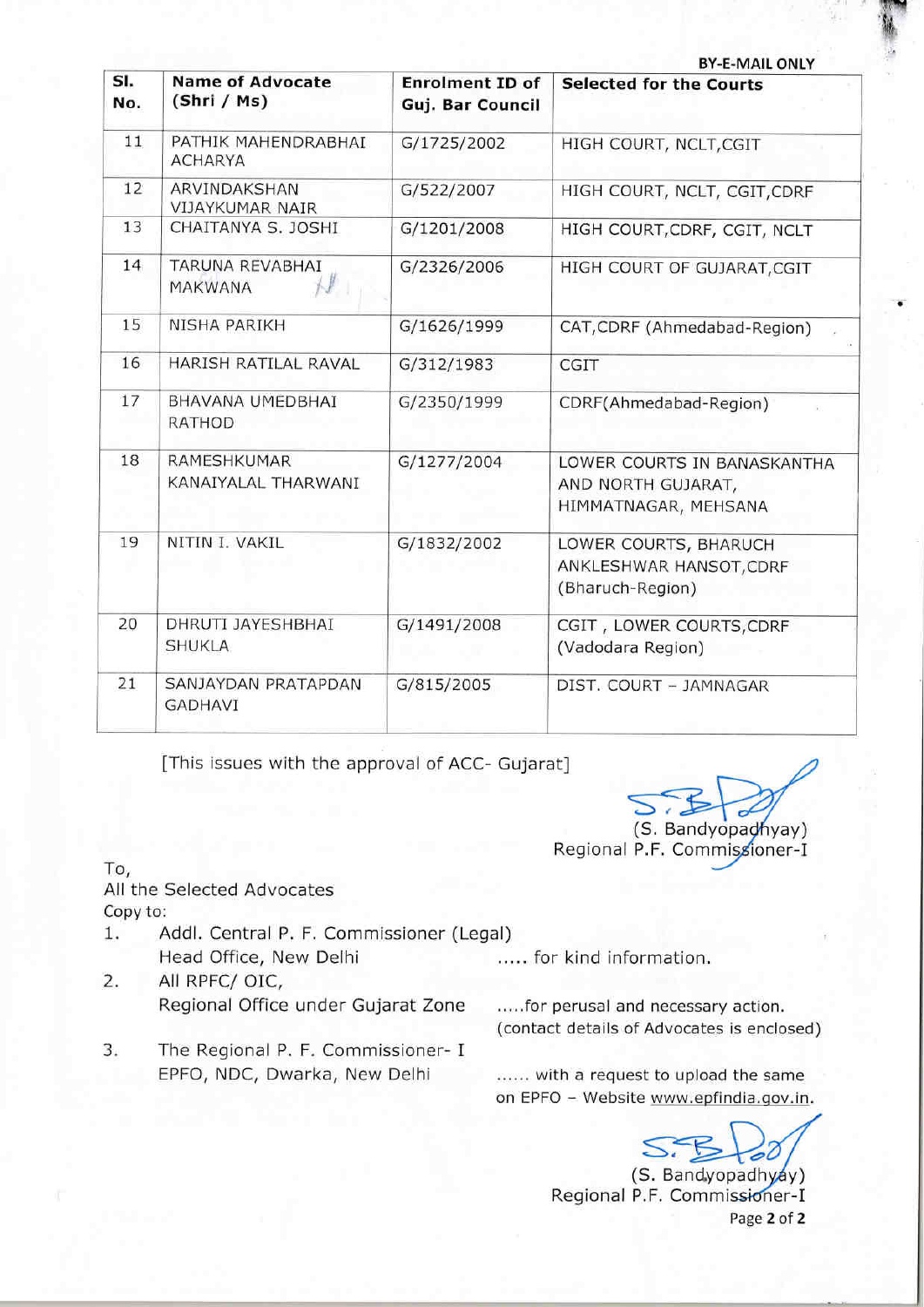| <b>BY-E-MAIL ONLY</b> |                                           |                                            |                                                                           |
|-----------------------|-------------------------------------------|--------------------------------------------|---------------------------------------------------------------------------|
| SI.<br>No.            | <b>Name of Advocate</b><br>(Shri / Ms)    | <b>Enrolment ID of</b><br>Guj. Bar Council | <b>Selected for the Courts</b>                                            |
| 11                    | PATHIK MAHENDRABHAI<br><b>ACHARYA</b>     | G/1725/2002                                | HIGH COURT, NCLT, CGIT                                                    |
| 12                    | ARVINDAKSHAN<br><b>VIJAYKUMAR NAIR</b>    | G/522/2007                                 | HIGH COURT, NCLT, CGIT, CDRF                                              |
| 13                    | CHAITANYA S. JOSHI                        | G/1201/2008                                | HIGH COURT, CDRF, CGIT, NCLT                                              |
| 14                    | TARUNA REVABHAI<br><b>MAKWANA</b>         | G/2326/2006                                | HIGH COURT OF GUJARAT, CGIT                                               |
| 15                    | NISHA PARIKH                              | G/1626/1999                                | CAT, CDRF (Ahmedabad-Region)                                              |
| 16                    | HARISH RATILAL RAVAL                      | G/312/1983                                 | CGIT                                                                      |
| 17                    | BHAVANA UMEDBHAI<br><b>RATHOD</b>         | G/2350/1999                                | CDRF(Ahmedabad-Region)                                                    |
| 18                    | <b>RAMESHKUMAR</b><br>KANAIYALAL THARWANI | G/1277/2004                                | LOWER COURTS IN BANASKANTHA<br>AND NORTH GUJARAT,<br>HIMMATNAGAR, MEHSANA |
| 19                    | NITIN I. VAKIL                            | G/1832/2002                                | LOWER COURTS, BHARUCH<br>ANKLESHWAR HANSOT, CDRF<br>(Bharuch-Region)      |
| 20                    | DHRUTI JAYESHBHAI<br><b>SHUKLA</b>        | G/1491/2008                                | CGIT, LOWER COURTS, CDRF<br>(Vadodara Region)                             |
| 21                    | SANJAYDAN PRATAPDAN<br><b>GADHAVI</b>     | G/815/2005                                 | DIST. COURT - JAMNAGAR                                                    |
|                       |                                           |                                            |                                                                           |

[This issues with the approval of ACC- Gujarat]

ffirl'f

Regional P.F. Commi (S. Bandyopadhyay)

To, All the Selected Advocates Copy to:

- 1, Addl. Central P. F. Commissioner (Legal) Head Office, New Delhi ..... for kind information.
- 2. All RPFC/ OIC, Regional Office under Gujarat Zone
- 3. The Regional P. F. Commissioner- <sup>I</sup> EPFO, NDC, Dwarka, New Delhi

.....for perusal and necessary action. (contact details of Advocates is enclosed)

...... with a request to upload the same on EPFO - Website www.epfindia.gov.in.

(S. Bandyopadhyay) Regional P.F. Commissioner-I Page 2 of 2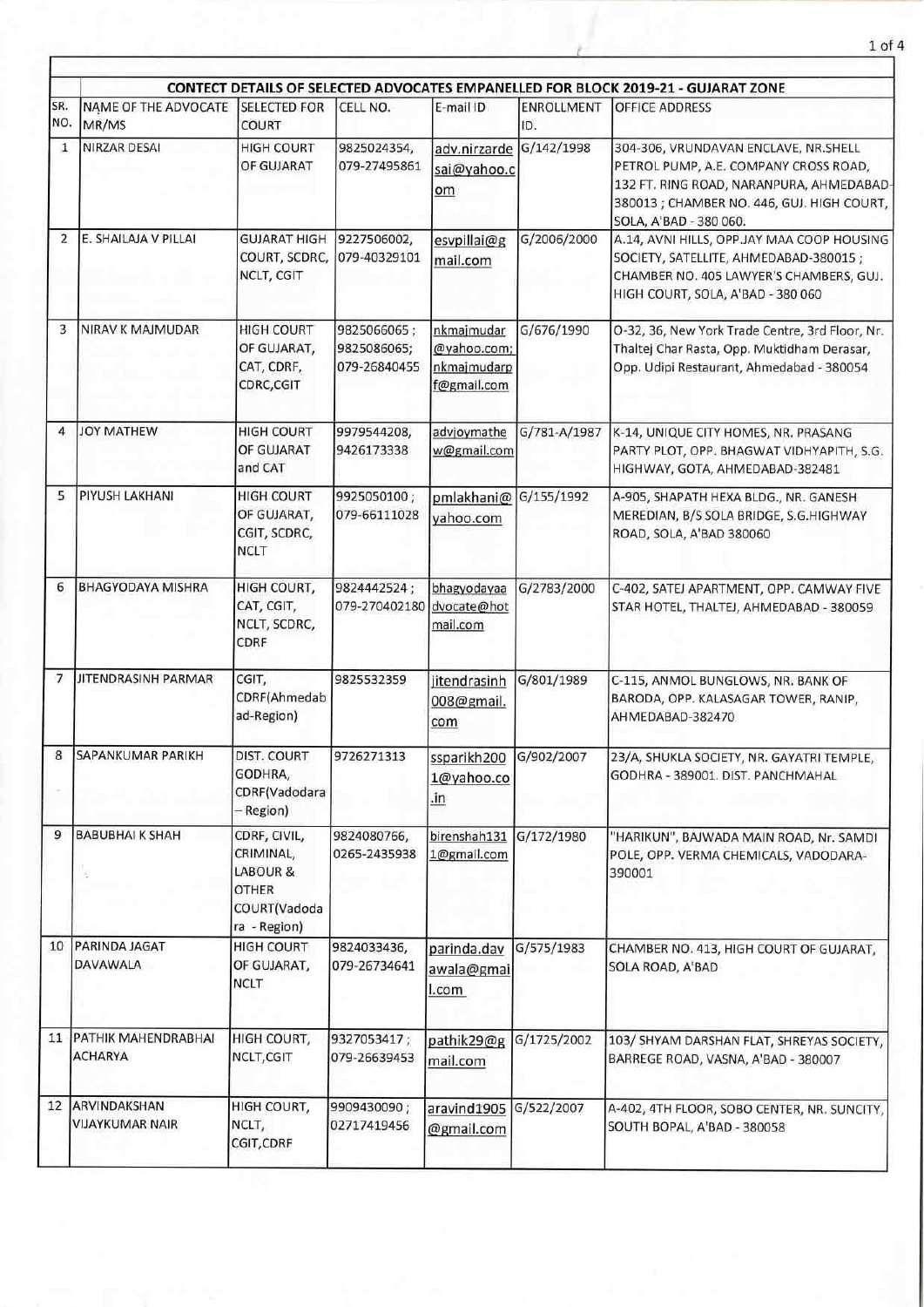|                |                                        |                                                                                       |                                            |                                                         |                   | CONTECT DETAILS OF SELECTED ADVOCATES EMPANELLED FOR BLOCK 2019-21 - GUJARAT ZONE                                                                                                                 |
|----------------|----------------------------------------|---------------------------------------------------------------------------------------|--------------------------------------------|---------------------------------------------------------|-------------------|---------------------------------------------------------------------------------------------------------------------------------------------------------------------------------------------------|
| SR.<br>NO.     | NAME OF THE ADVOCATE<br>MR/MS          | <b>SELECTED FOR</b><br><b>COURT</b>                                                   | CELL NO.                                   | E-mail ID                                               | ENROLLMENT<br>ID. | OFFICE ADDRESS                                                                                                                                                                                    |
| 1              | NIRZAR DESAI                           | <b>HIGH COURT</b><br>OF GUJARAT                                                       | 9825024354,<br>079-27495861                | adv.nirzarde G/142/1998<br>sai@yahoo.c<br>om            |                   | 304-306, VRUNDAVAN ENCLAVE, NR.SHELL<br>PETROL PUMP, A.E. COMPANY CROSS ROAD,<br>132 FT. RING ROAD, NARANPURA, AHMEDABAD-<br>380013 ; CHAMBER NO. 446, GUJ. HIGH COURT,<br>SOLA, A'BAD - 380 060. |
| $\overline{2}$ | E. SHAILAJA V PILLAI                   | <b>GUJARAT HIGH</b><br>COURT, SCDRC,<br>NCLT, CGIT                                    | 9227506002,<br>079-40329101                | esvpillai@g<br>mail.com                                 | G/2006/2000       | A.14, AVNI HILLS, OPP.JAY MAA COOP HOUSING<br>SOCIETY, SATELLITE, AHMEDABAD-380015;<br>CHAMBER NO. 405 LAWYER'S CHAMBERS, GUJ.<br>HIGH COURT, SOLA, A'BAD - 380 060                               |
| 3              | NIRAV K MAJMUDAR                       | <b>HIGH COURT</b><br>OF GUJARAT,<br>CAT, CDRF,<br>CDRC, CGIT                          | 9825066065;<br>9825086065;<br>079-26840455 | nkmajmudar<br>@yahoo.com;<br>nkmajmudarp<br>f@gmail.com | G/676/1990        | O-32, 36, New York Trade Centre, 3rd Floor, Nr.<br>Thaltej Char Rasta, Opp. Muktidham Derasar,<br>Opp. Udipi Restaurant, Ahmedabad - 380054                                                       |
| 4              | <b>JOY MATHEW</b>                      | <b>HIGH COURT</b><br>OF GUJARAT<br>and CAT                                            | 9979544208,<br>9426173338                  | advjoymathe<br>w@gmail.com                              | G/781-A/1987      | K-14, UNIQUE CITY HOMES, NR. PRASANG<br>PARTY PLOT, OPP. BHAGWAT VIDHYAPITH, S.G.<br>HIGHWAY, GOTA, AHMEDABAD-382481                                                                              |
| 5              | <b>PIYUSH LAKHANI</b>                  | <b>HIGH COURT</b><br>OF GUJARAT,<br>CGIT, SCDRC,<br>NCLT                              | 9925050100;<br>079-66111028                | pmlakhani@<br>yahoo.com                                 | G/155/1992        | A-905, SHAPATH HEXA BLDG., NR. GANESH<br>MEREDIAN, B/S SOLA BRIDGE, S.G.HIGHWAY<br>ROAD, SOLA, A'BAD 380060                                                                                       |
| 6              | <b>BHAGYODAYA MISHRA</b>               | HIGH COURT,<br>CAT, CGIT,<br>NCLT, SCDRC,<br>CDRF                                     | 9824442524;<br>079-270402180               | bhagyodayaa<br>dvocate@hot<br>mail.com                  | G/2783/2000       | C-402, SATEJ APARTMENT, OPP. CAMWAY FIVE<br>STAR HOTEL, THALTEJ, AHMEDABAD - 380059                                                                                                               |
| 7              | JITENDRASINH PARMAR                    | CGIT,<br>CDRF(Ahmedab<br>ad-Region)                                                   | 9825532359                                 | jitendrasinh<br>008@gmail.<br>com                       | G/801/1989        | C-115, ANMOL BUNGLOWS, NR. BANK OF<br>BARODA, OPP. KALASAGAR TOWER, RANIP,<br>AHMEDABAD-382470                                                                                                    |
| 8              | <b>SAPANKUMAR PARIKH</b>               | DIST. COURT<br>GODHRA,<br>CDRF(Vadodara<br>– Region)                                  | 9726271313                                 | ssparikh200 G/902/2007<br>1@yahoo.co<br>.in             |                   | 23/A, SHUKLA SOCIETY, NR. GAYATRI TEMPLE<br>GODHRA - 389001. DIST. PANCHMAHAL                                                                                                                     |
| 9              | <b>BABUBHAI K SHAH</b>                 | CDRF, CIVIL,<br>CRIMINAL,<br>LABOUR &<br><b>OTHER</b><br>COURT(Vadoda<br>ra - Region) | 9824080766,<br>0265-2435938                | birenshah131<br>1@gmail.com                             | G/172/1980        | "HARIKUN", BAJWADA MAIN ROAD, Nr. SAMDI<br>POLE, OPP. VERMA CHEMICALS, VADODARA-<br>390001                                                                                                        |
| 10             | PARINDA JAGAT<br>DAVAWALA              | <b>HIGH COURT</b><br>OF GUJARAT,<br>NCLT                                              | 9824033436,<br>079-26734641                | parinda.dav<br>awala@gmai<br>l.com                      | G/575/1983        | CHAMBER NO. 413, HIGH COURT OF GUJARAT,<br>SOLA ROAD, A'BAD                                                                                                                                       |
| 11             | PATHIK MAHENDRABHAI<br><b>ACHARYA</b>  | HIGH COURT,<br>NCLT, CGIT                                                             | 9327053417;<br>079-26639453                | pathik29@g<br>mail.com                                  | G/1725/2002       | 103/ SHYAM DARSHAN FLAT, SHREYAS SOCIETY,<br>BARREGE ROAD, VASNA, A'BAD - 380007                                                                                                                  |
| 12             | ARVINDAKSHAN<br><b>VIJAYKUMAR NAIR</b> | HIGH COURT,<br>NCLT,<br>CGIT, CDRF                                                    | 9909430090;<br>02717419456                 | aravind1905<br>@gmail.com                               | G/522/2007        | A-402, 4TH FLOOR, SOBO CENTER, NR. SUNCITY,<br>SOUTH BOPAL, A'BAD - 380058                                                                                                                        |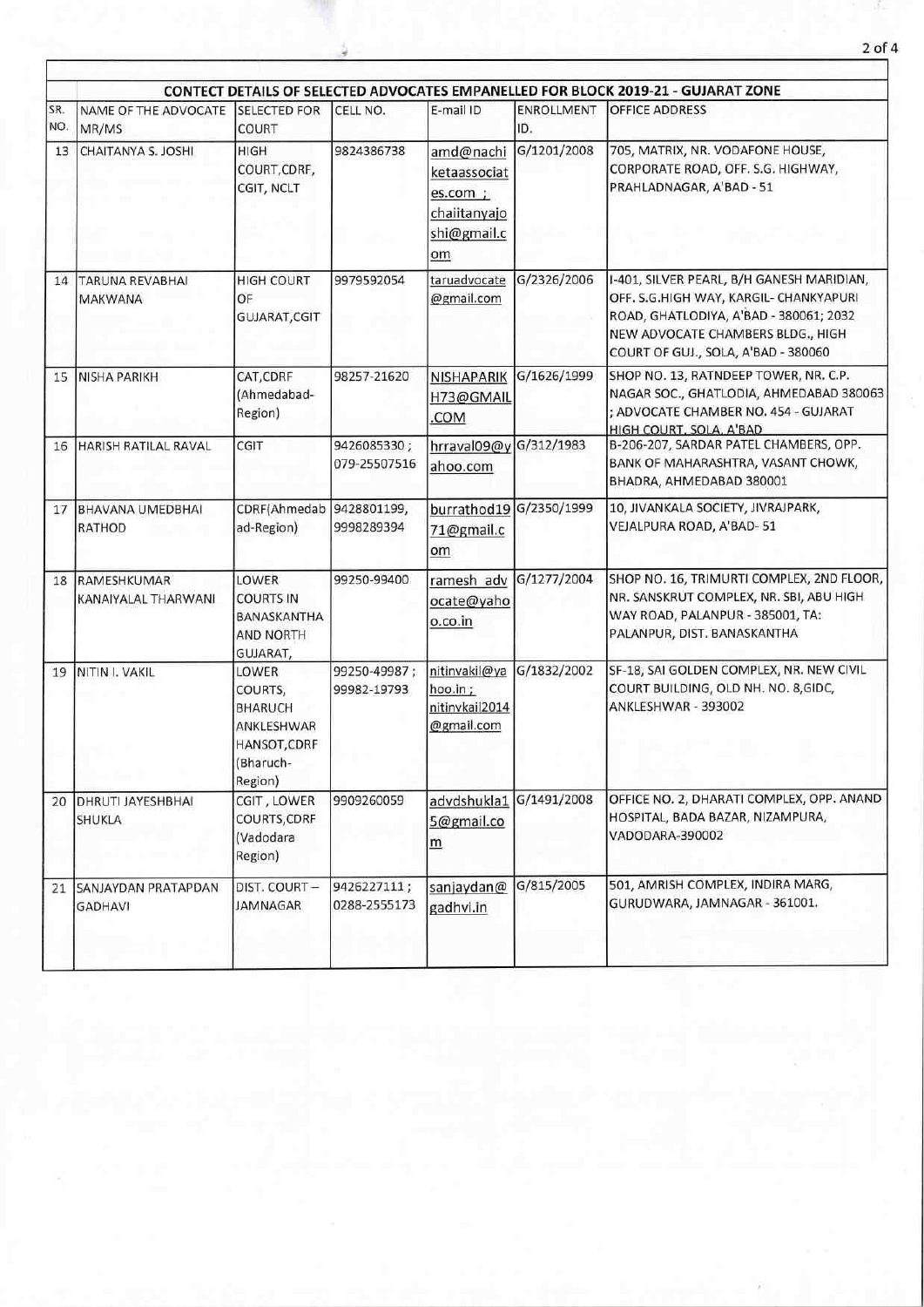| SR. | NAME OF THE ADVOCATE                     | <b>SELECTED FOR</b>                                                                      | CELL NO.                    | E-mail ID                                                                  | ENROLLMENT  | CONTECT DETAILS OF SELECTED ADVOCATES EMPANELLED FOR BLOCK 2019-21 - GUJARAT ZONE<br>OFFICE ADDRESS                                                                                                       |
|-----|------------------------------------------|------------------------------------------------------------------------------------------|-----------------------------|----------------------------------------------------------------------------|-------------|-----------------------------------------------------------------------------------------------------------------------------------------------------------------------------------------------------------|
| NO. | MR/MS                                    | COURT                                                                                    |                             |                                                                            | ID.         |                                                                                                                                                                                                           |
| 13  | CHAITANYA S. JOSHI                       | <b>HIGH</b><br>COURT, CDRF,<br>CGIT, NCLT                                                | 9824386738                  | amd@nachi<br>ketaassociat<br>es.com ;<br>chailtanyajo<br>shi@gmail.c<br>om | G/1201/2008 | 705, MATRIX, NR. VODAFONE HOUSE,<br>CORPORATE ROAD, OFF. S.G. HIGHWAY,<br>PRAHLADNAGAR, A'BAD - 51                                                                                                        |
| 14  | <b>TARUNA REVABHAI</b><br><b>MAKWANA</b> | <b>HIGH COURT</b><br>OF<br>GUJARAT, CGIT                                                 | 9979592054                  | taruadvocate<br>@gmail.com                                                 | G/2326/2006 | I-401, SILVER PEARL, B/H GANESH MARIDIAN,<br>OFF. S.G.HIGH WAY, KARGIL- CHANKYAPURI<br>ROAD, GHATLODIYA, A'BAD - 380061; 2032<br>NEW ADVOCATE CHAMBERS BLDG., HIGH<br>COURT OF GUJ., SOLA, A'BAD - 380060 |
| 15  | <b>NISHA PARIKH</b>                      | CAT, CDRF<br>(Ahmedabad-<br>Region)                                                      | 98257-21620                 | <b>NISHAPARIK</b><br>H73@GMAIL<br>.COM                                     | G/1626/1999 | SHOP NO. 13, RATNDEEP TOWER, NR. C.P.<br>NAGAR SOC., GHATLODIA, AHMEDABAD 380063<br>; ADVOCATE CHAMBER NO. 454 - GUJARAT<br>HIGH COURT, SOLA, A'BAD                                                       |
| 16  | HARISH RATILAL RAVAL                     | CGIT                                                                                     | 9426085330;<br>079-25507516 | hrraval09@y G/312/1983<br>ahoo.com                                         |             | B-206-207, SARDAR PATEL CHAMBERS, OPP.<br>BANK OF MAHARASHTRA, VASANT CHOWK,<br>BHADRA, AHMEDABAD 380001                                                                                                  |
| 17  | <b>BHAVANA UMEDBHAI</b><br>RATHOD        | CDRF(Ahmedab<br>ad-Region)                                                               | 9428801199,<br>9998289394   | burrathod19 G/2350/1999<br>71@gmail.c<br>om                                |             | 10, JIVANKALA SOCIETY, JIVRAJPARK,<br>VEJALPURA ROAD, A'BAD-51                                                                                                                                            |
| 18  | RAMESHKUMAR<br>KANAIYALAL THARWANI       | <b>LOWER</b><br><b>COURTS IN</b><br>BANASKANTHA<br><b>AND NORTH</b><br>GUJARAT,          | 99250-99400                 | ramesh adv<br>ocate@yaho<br>o.co.in                                        | G/1277/2004 | SHOP NO. 16, TRIMURTI COMPLEX, 2ND FLOOR,<br>NR. SANSKRUT COMPLEX, NR. SBI, ABU HIGH<br>WAY ROAD, PALANPUR - 385001, TA:<br>PALANPUR, DIST. BANASKANTHA                                                   |
| 19  | NITIN I. VAKIL                           | LOWER<br>COURTS,<br><b>BHARUCH</b><br>ANKLESHWAR<br>HANSOT, CDRF<br>(Bharuch-<br>Region) | 99250-49987;<br>99982-19793 | nitinvakil@ya<br>hoo.in;<br>nitinvkail2014<br>@gmail.com                   | G/1832/2002 | SF-18, SAI GOLDEN COMPLEX, NR. NEW CIVIL<br>COURT BUILDING, OLD NH. NO. 8,GIDC,<br>ANKLESHWAR - 393002                                                                                                    |
| 20  | <b>DHRUTI JAYESHBHAI</b><br>SHUKLA       | CGIT, LOWER<br>COURTS, CDRF<br>(Vadodara<br>Region)                                      | 9909260059                  | advdshukla1<br>5@gmail.co<br>m                                             | G/1491/2008 | OFFICE NO. 2, DHARATI COMPLEX, OPP. ANAND<br>HOSPITAL, BADA BAZAR, NIZAMPURA,<br>VADODARA-390002                                                                                                          |
| 21  | SANJAYDAN PRATAPDAN<br><b>GADHAVI</b>    | DIST. COURT-<br>JAMNAGAR                                                                 | 9426227111;<br>0288-2555173 | sanjaydan@<br>gadhvi.in                                                    | G/815/2005  | 501, AMRISH COMPLEX, INDIRA MARG,<br>GURUDWARA, JAMNAGAR - 361001.                                                                                                                                        |

 $\sim$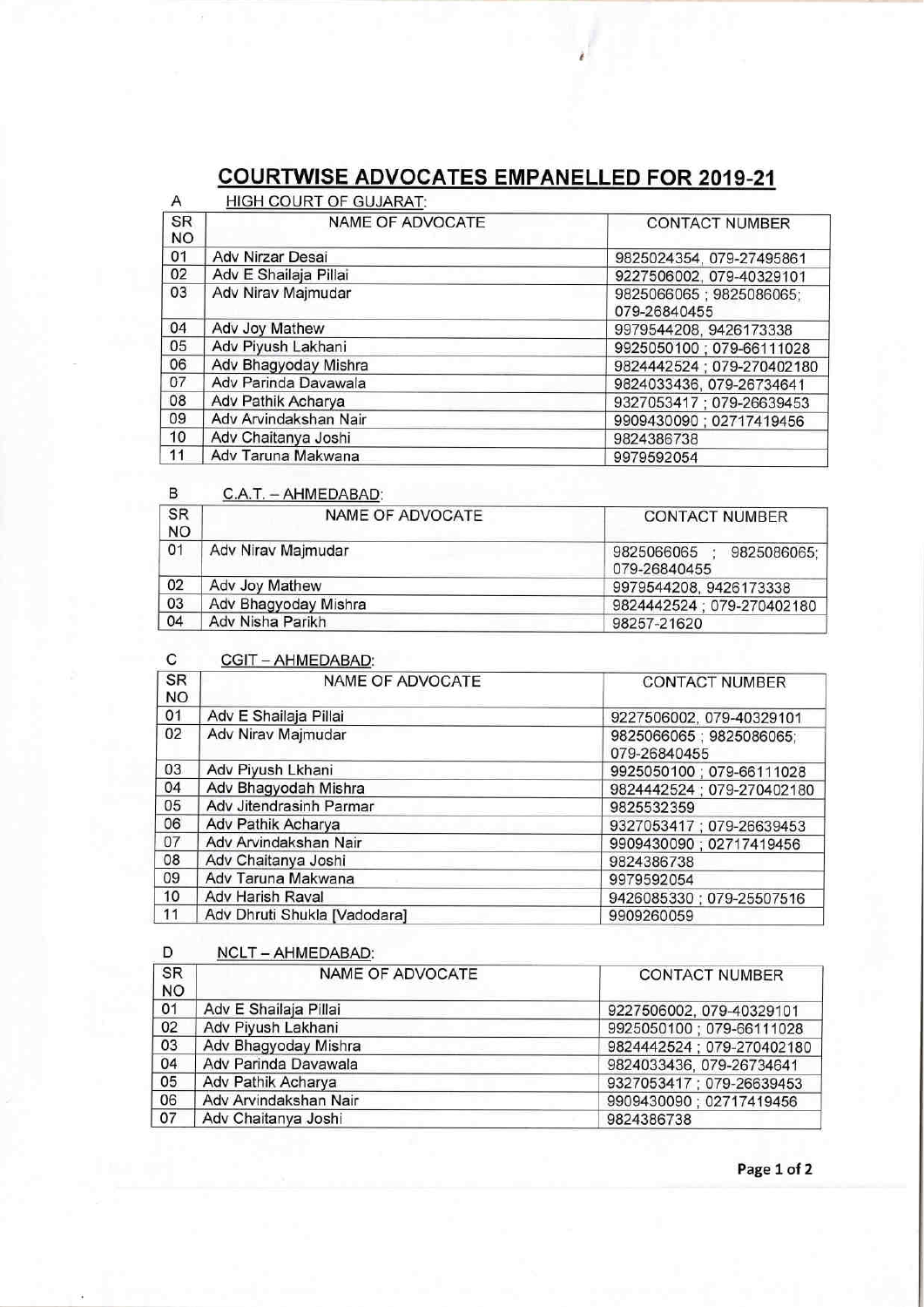# COURTWISE ADVOCATES EMPANELLED FOR 2019-21

| <b>HIGH COURT OF GUJARAT:</b><br>Α |                       |                                         |
|------------------------------------|-----------------------|-----------------------------------------|
| <b>SR</b><br><b>NO</b>             | NAME OF ADVOCATE      | <b>CONTACT NUMBER</b>                   |
| 01                                 | Adv Nirzar Desai      | 9825024354, 079-27495861                |
| 02                                 | Adv E Shailaja Pillai | 9227506002, 079-40329101                |
| 03                                 | Adv Nirav Majmudar    | 9825066065; 9825086065;<br>079-26840455 |
| 04                                 | Adv Joy Mathew        | 9979544208, 9426173338                  |
| 05                                 | Adv Piyush Lakhani    | 9925050100; 079-66111028                |
| 06                                 | Adv Bhagyoday Mishra  | 9824442524; 079-270402180               |
| 07                                 | Adv Parinda Davawala  | 9824033436, 079-26734641                |
| 08                                 | Adv Pathik Acharya    | 9327053417; 079-26639453                |
| 09                                 | Adv Arvindakshan Nair | 9909430090 ; 02717419456                |
| 10                                 | Adv Chaitanya Joshi   | 9824386738                              |
| 11                                 | Adv Taruna Makwana    | 9979592054                              |

B C.A.T. - AHMEDABAD:

| <b>SR</b><br><b>NO</b> | NAME OF ADVOCATE     | <b>CONTACT NUMBER</b>                     |  |
|------------------------|----------------------|-------------------------------------------|--|
| 01                     | Adv Nirav Majmudar   | 9825066065<br>9825086065;<br>079-26840455 |  |
| 02                     | Adv Joy Mathew       | 9979544208, 9426173338                    |  |
| 03                     | Adv Bhagyoday Mishra | 9824442524 : 079-270402180                |  |
| 04                     | Adv Nisha Parikh     | 98257-21620                               |  |

#### C CGIT - AHMEDABAD:

| ີ                      | $V = N \text{INIL}$          |                                         |
|------------------------|------------------------------|-----------------------------------------|
| <b>SR</b><br><b>NO</b> | <b>NAME OF ADVOCATE</b>      | <b>CONTACT NUMBER</b>                   |
| 01                     | Adv E Shailaja Pillai        | 9227506002, 079-40329101                |
| 02                     | Adv Nirav Majmudar           | 9825066065; 9825086065;<br>079-26840455 |
| 03                     | Adv Piyush Lkhani            | 9925050100; 079-66111028                |
| 04                     | Adv Bhagyodah Mishra         | 9824442524; 079-270402180               |
| 05                     | Adv Jitendrasinh Parmar      | 9825532359                              |
| 06                     | Adv Pathik Acharya           | 9327053417; 079-26639453                |
| 07                     | Adv Arvindakshan Nair        | 9909430090; 02717419456                 |
| 08                     | Adv Chaitanya Joshi          | 9824386738                              |
| 09                     | Adv Taruna Makwana           | 9979592054                              |
| 10                     | Adv Harish Raval             | 9426085330; 079-25507516                |
| 11                     | Adv Dhruti Shukla [Vadodara] | 9909260059                              |

### D NCLT-AHMEDABAD:

| SR        | <b>NAME OF ADVOCATE</b> | <b>CONTACT NUMBER</b>     |
|-----------|-------------------------|---------------------------|
| <b>NO</b> |                         |                           |
| 01        | Adv E Shailaja Pillai   | 9227506002, 079-40329101  |
| 02        | Adv Piyush Lakhani      | 9925050100; 079-66111028  |
| 03        | Adv Bhagyoday Mishra    | 9824442524; 079-270402180 |
| 04        | Adv Parinda Davawala    | 9824033436, 079-26734641  |
| 05        | Adv Pathik Acharya      | 9327053417 ; 079-26639453 |
| 06        | Adv Arvindakshan Nair   | 9909430090; 02717419456   |
| 07        | Adv Chaitanya Joshi     | 9824386738                |